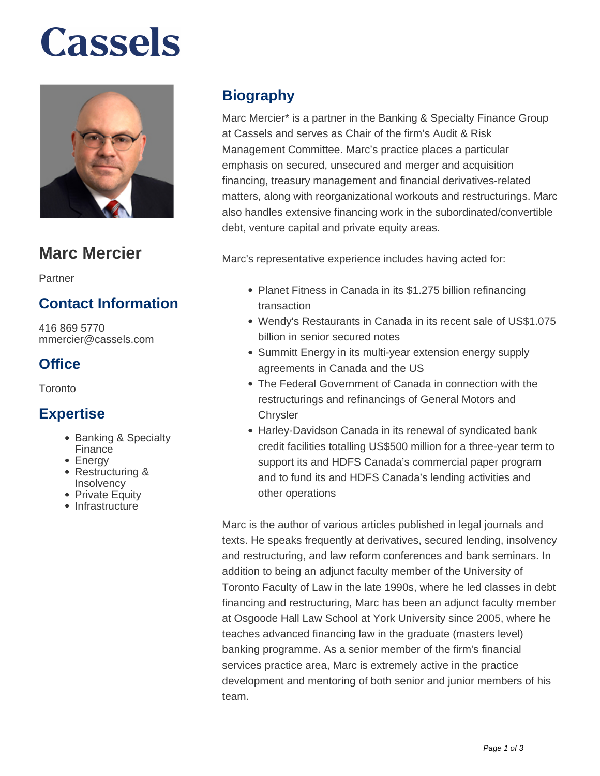# **Cassels**



## **Marc Mercier**

Partner

## **Contact Information**

416 869 5770 mmercier@cassels.com

## **Office**

**Toronto** 

### **Expertise**

- Banking & Specialty Finance
- Energy
- Restructuring & **Insolvency**
- Private Equity
- Infrastructure

## **Biography**

Marc Mercier\* is a partner in the Banking & Specialty Finance Group at Cassels and serves as Chair of the firm's Audit & Risk Management Committee. Marc's practice places a particular emphasis on secured, unsecured and merger and acquisition financing, treasury management and financial derivatives-related matters, along with reorganizational workouts and restructurings. Marc also handles extensive financing work in the subordinated/convertible debt, venture capital and private equity areas.

Marc's representative experience includes having acted for:

- Planet Fitness in Canada in its \$1.275 billion refinancing transaction
- Wendy's Restaurants in Canada in its recent sale of US\$1.075 billion in senior secured notes
- Summitt Energy in its multi-year extension energy supply agreements in Canada and the US
- The Federal Government of Canada in connection with the restructurings and refinancings of General Motors and **Chrysler**
- Harley-Davidson Canada in its renewal of syndicated bank credit facilities totalling US\$500 million for a three-year term to support its and HDFS Canada's commercial paper program and to fund its and HDFS Canada's lending activities and other operations

Marc is the author of various articles published in legal journals and texts. He speaks frequently at derivatives, secured lending, insolvency and restructuring, and law reform conferences and bank seminars. In addition to being an adjunct faculty member of the University of Toronto Faculty of Law in the late 1990s, where he led classes in debt financing and restructuring, Marc has been an adjunct faculty member at Osgoode Hall Law School at York University since 2005, where he teaches advanced financing law in the graduate (masters level) banking programme. As a senior member of the firm's financial services practice area, Marc is extremely active in the practice development and mentoring of both senior and junior members of his team.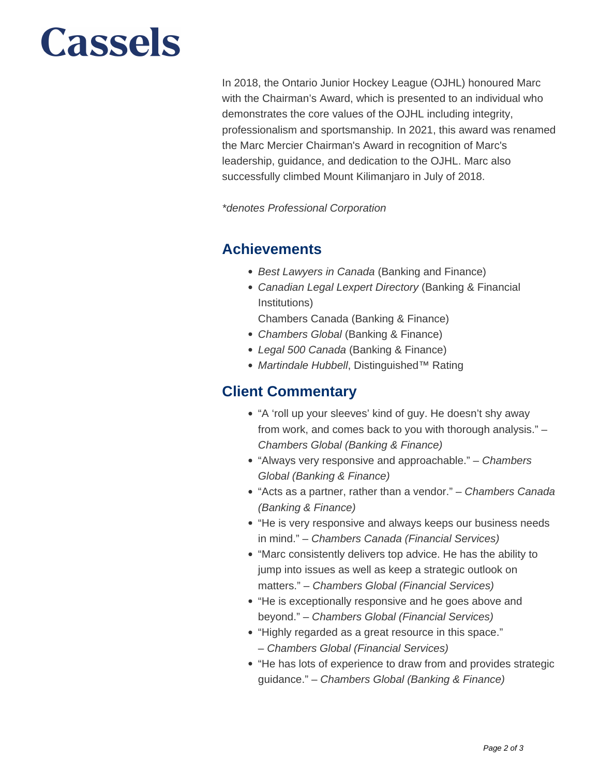## **Cassels**

In 2018, the Ontario Junior Hockey League (OJHL) honoured Marc with the Chairman's Award, which is presented to an individual who demonstrates the core values of the OJHL including integrity, professionalism and sportsmanship. In 2021, this award was renamed the Marc Mercier Chairman's Award in recognition of Marc's leadership, guidance, and dedication to the OJHL. Marc also successfully climbed Mount Kilimanjaro in July of 2018.

\*denotes Professional Corporation

#### **Achievements**

- Best Lawyers in Canada (Banking and Finance)
- Canadian Legal Lexpert Directory (Banking & Financial Institutions)

Chambers Canada (Banking & Finance)

- Chambers Global (Banking & Finance)
- Legal 500 Canada (Banking & Finance)
- Martindale Hubbell, Distinguished™ Rating

#### **Client Commentary**

- "A 'roll up your sleeves' kind of guy. He doesn't shy away from work, and comes back to you with thorough analysis." – Chambers Global (Banking & Finance)
- "Always very responsive and approachable." Chambers Global (Banking & Finance)
- "Acts as a partner, rather than a vendor." Chambers Canada (Banking & Finance)
- "He is very responsive and always keeps our business needs in mind." – Chambers Canada (Financial Services)
- "Marc consistently delivers top advice. He has the ability to jump into issues as well as keep a strategic outlook on matters." – Chambers Global (Financial Services)
- "He is exceptionally responsive and he goes above and beyond." – Chambers Global (Financial Services)
- "Highly regarded as a great resource in this space." – Chambers Global (Financial Services)
- "He has lots of experience to draw from and provides strategic guidance." – Chambers Global (Banking & Finance)